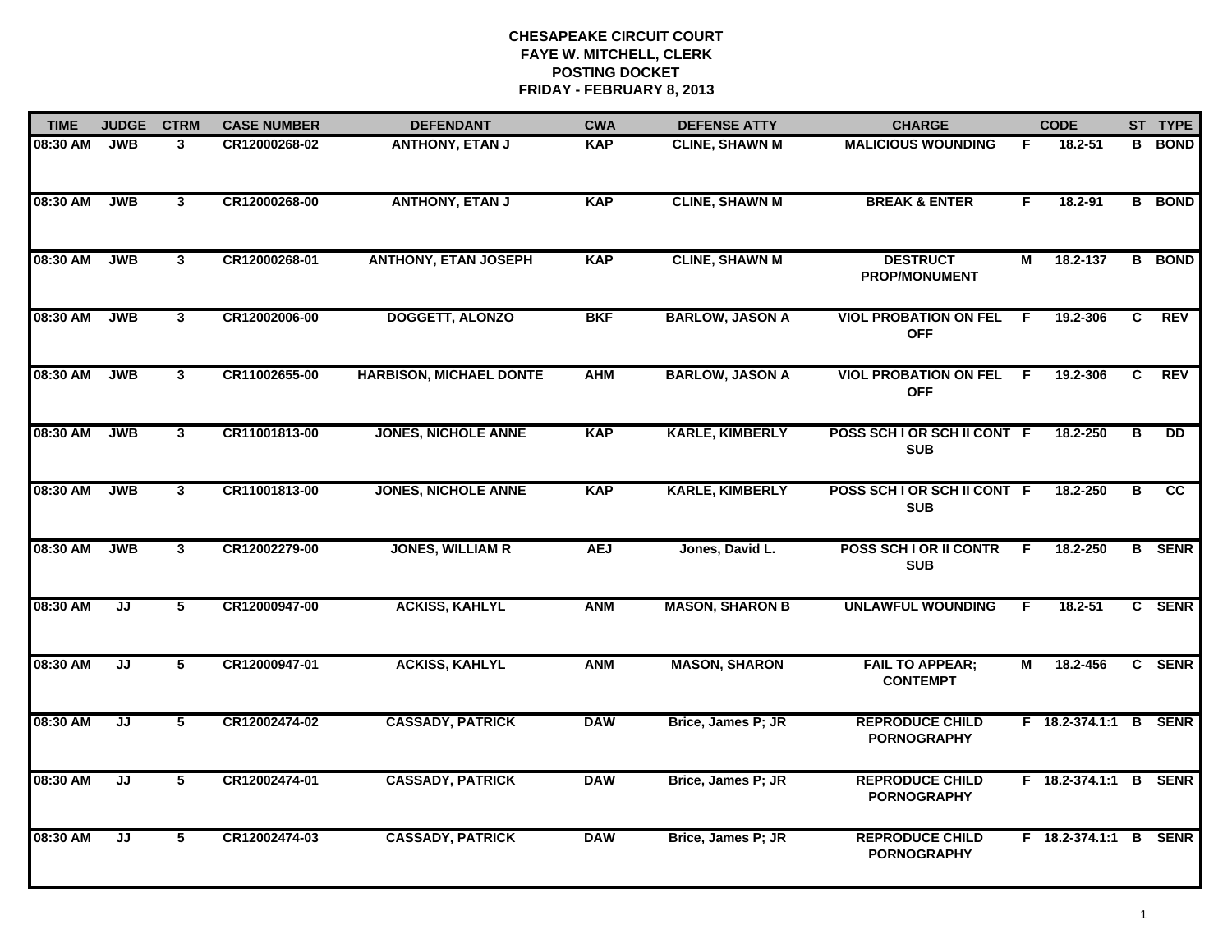| <b>TIME</b> | <b>JUDGE</b> | <b>CTRM</b>             | <b>CASE NUMBER</b> | <b>DEFENDANT</b>               | <b>CWA</b> | <b>DEFENSE ATTY</b>    | <b>CHARGE</b>                                |    | <b>CODE</b>           |                         | ST TYPE         |
|-------------|--------------|-------------------------|--------------------|--------------------------------|------------|------------------------|----------------------------------------------|----|-----------------------|-------------------------|-----------------|
| 08:30 AM    | <b>JWB</b>   | 3                       | CR12000268-02      | <b>ANTHONY, ETAN J</b>         | <b>KAP</b> | <b>CLINE, SHAWN M</b>  | <b>MALICIOUS WOUNDING</b>                    | F  | 18.2-51               | в                       | <b>BOND</b>     |
| 08:30 AM    | <b>JWB</b>   | $\mathbf{3}$            | CR12000268-00      | <b>ANTHONY, ETAN J</b>         | <b>KAP</b> | <b>CLINE, SHAWN M</b>  | <b>BREAK &amp; ENTER</b>                     | F. | 18.2-91               |                         | <b>B</b> BOND   |
| 08:30 AM    | <b>JWB</b>   | $\mathbf{3}$            | CR12000268-01      | <b>ANTHONY, ETAN JOSEPH</b>    | <b>KAP</b> | <b>CLINE, SHAWN M</b>  | <b>DESTRUCT</b><br>PROP/MONUMENT             | М  | 18.2-137              |                         | <b>B</b> BOND   |
| 08:30 AM    | <b>JWB</b>   | $\mathbf{3}$            | CR12002006-00      | <b>DOGGETT, ALONZO</b>         | <b>BKF</b> | <b>BARLOW, JASON A</b> | <b>VIOL PROBATION ON FEL</b><br><b>OFF</b>   | F  | 19.2-306              | C                       | <b>REV</b>      |
| 08:30 AM    | <b>JWB</b>   | $\mathbf{3}$            | CR11002655-00      | <b>HARBISON, MICHAEL DONTE</b> | <b>AHM</b> | <b>BARLOW, JASON A</b> | <b>VIOL PROBATION ON FEL</b><br><b>OFF</b>   | -F | 19.2-306              | C                       | <b>REV</b>      |
| 08:30 AM    | <b>JWB</b>   | $\mathbf{3}$            | CR11001813-00      | <b>JONES, NICHOLE ANNE</b>     | <b>KAP</b> | <b>KARLE, KIMBERLY</b> | POSS SCH I OR SCH II CONT F<br><b>SUB</b>    |    | 18.2-250              | В                       | <b>DD</b>       |
| 08:30 AM    | <b>JWB</b>   | $\overline{\mathbf{3}}$ | CR11001813-00      | <b>JONES, NICHOLE ANNE</b>     | <b>KAP</b> | <b>KARLE, KIMBERLY</b> | POSS SCH I OR SCH II CONT F<br><b>SUB</b>    |    | 18.2-250              | $\overline{\mathbf{B}}$ | $\overline{cc}$ |
| 08:30 AM    | <b>JWB</b>   | $\mathbf{3}$            | CR12002279-00      | <b>JONES, WILLIAM R</b>        | <b>AEJ</b> | Jones, David L.        | POSS SCH I OR II CONTR<br><b>SUB</b>         | F  | 18.2-250              |                         | <b>B</b> SENR   |
| 08:30 AM    | JJ           | 5                       | CR12000947-00      | <b>ACKISS, KAHLYL</b>          | <b>ANM</b> | <b>MASON, SHARON B</b> | <b>UNLAWFUL WOUNDING</b>                     | F  | 18.2-51               |                         | C SENR          |
| 08:30 AM    | JJ           | 5                       | CR12000947-01      | <b>ACKISS, KAHLYL</b>          | <b>ANM</b> | <b>MASON, SHARON</b>   | <b>FAIL TO APPEAR;</b><br><b>CONTEMPT</b>    | М  | 18.2-456              |                         | C SENR          |
| 08:30 AM    | JJ           | 5                       | CR12002474-02      | <b>CASSADY, PATRICK</b>        | <b>DAW</b> | Brice, James P; JR     | <b>REPRODUCE CHILD</b><br><b>PORNOGRAPHY</b> |    | F 18.2-374.1:1 B      |                         | <b>SENR</b>     |
| 08:30 AM    | JJ           | 5                       | CR12002474-01      | <b>CASSADY, PATRICK</b>        | <b>DAW</b> | Brice, James P; JR     | <b>REPRODUCE CHILD</b><br><b>PORNOGRAPHY</b> |    | F 18.2-374.1:1        |                         | <b>B</b> SENR   |
| 08:30 AM    | JJ           | 5                       | CR12002474-03      | <b>CASSADY, PATRICK</b>        | <b>DAW</b> | Brice, James P; JR     | <b>REPRODUCE CHILD</b><br><b>PORNOGRAPHY</b> |    | F 18.2-374.1:1 B SENR |                         |                 |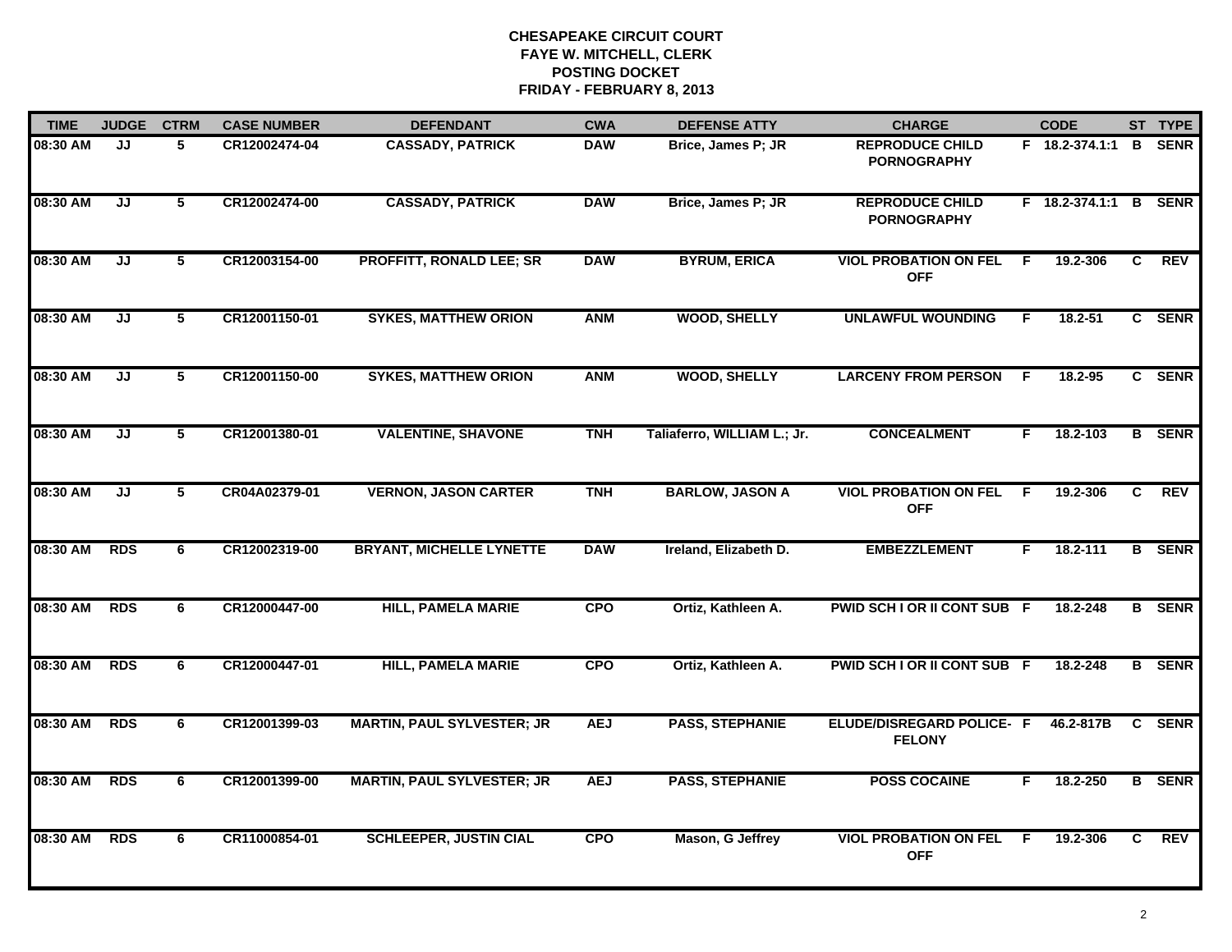| <b>TIME</b> | <b>JUDGE</b> | <b>CTRM</b>    | <b>CASE NUMBER</b> | <b>DEFENDANT</b>                  | <b>CWA</b> | <b>DEFENSE ATTY</b>         | <b>CHARGE</b>                                     |    | <b>CODE</b>           |                | ST TYPE       |
|-------------|--------------|----------------|--------------------|-----------------------------------|------------|-----------------------------|---------------------------------------------------|----|-----------------------|----------------|---------------|
| 08:30 AM    | JJ           | 5              | CR12002474-04      | <b>CASSADY, PATRICK</b>           | <b>DAW</b> | Brice, James P; JR          | <b>REPRODUCE CHILD</b><br><b>PORNOGRAPHY</b>      |    | F 18.2-374.1:1        | B              | <b>SENR</b>   |
| 08:30 AM    | JJ           | 5              | CR12002474-00      | <b>CASSADY, PATRICK</b>           | <b>DAW</b> | Brice, James P; JR          | <b>REPRODUCE CHILD</b><br><b>PORNOGRAPHY</b>      |    | F 18.2-374.1:1 B SENR |                |               |
| 08:30 AM    | JJ           | 5              | CR12003154-00      | <b>PROFFITT, RONALD LEE; SR</b>   | <b>DAW</b> | <b>BYRUM, ERICA</b>         | <b>VIOL PROBATION ON FEL</b><br><b>OFF</b>        | E  | 19.2-306              | C              | <b>REV</b>    |
| 08:30 AM    | JJ           | 5              | CR12001150-01      | <b>SYKES, MATTHEW ORION</b>       | <b>ANM</b> | <b>WOOD, SHELLY</b>         | <b>UNLAWFUL WOUNDING</b>                          | F  | 18.2-51               |                | C SENR        |
| 08:30 AM    | JJ           | 5              | CR12001150-00      | <b>SYKES, MATTHEW ORION</b>       | <b>ANM</b> | <b>WOOD, SHELLY</b>         | <b>LARCENY FROM PERSON</b>                        | -F | 18.2-95               |                | C SENR        |
| 08:30 AM    | JJ           | 5              | CR12001380-01      | <b>VALENTINE, SHAVONE</b>         | <b>TNH</b> | Taliaferro, WILLIAM L.; Jr. | <b>CONCEALMENT</b>                                | F. | 18.2-103              |                | <b>B</b> SENR |
| 08:30 AM    | IJ           | $\overline{5}$ | CR04A02379-01      | <b>VERNON, JASON CARTER</b>       | <b>TNH</b> | <b>BARLOW, JASON A</b>      | <b>VIOL PROBATION ON FEL</b><br><b>OFF</b>        | E  | 19.2-306              | $\overline{c}$ | REV           |
| 08:30 AM    | <b>RDS</b>   | 6              | CR12002319-00      | <b>BRYANT, MICHELLE LYNETTE</b>   | <b>DAW</b> | Ireland, Elizabeth D.       | <b>EMBEZZLEMENT</b>                               | F. | 18.2-111              |                | <b>B</b> SENR |
| 08:30 AM    | <b>RDS</b>   | 6              | CR12000447-00      | <b>HILL, PAMELA MARIE</b>         | <b>CPO</b> | Ortiz, Kathleen A.          | PWID SCH I OR II CONT SUB F                       |    | 18.2-248              |                | <b>B</b> SENR |
| 08:30 AM    | <b>RDS</b>   | 6              | CR12000447-01      | <b>HILL, PAMELA MARIE</b>         | <b>CPO</b> | Ortiz, Kathleen A.          | PWID SCH I OR II CONT SUB F                       |    | 18.2-248              |                | <b>B</b> SENR |
| 08:30 AM    | <b>RDS</b>   | 6              | CR12001399-03      | <b>MARTIN, PAUL SYLVESTER; JR</b> | <b>AEJ</b> | <b>PASS, STEPHANIE</b>      | <b>ELUDE/DISREGARD POLICE- F</b><br><b>FELONY</b> |    | 46.2-817B             | C              | <b>SENR</b>   |
| 08:30 AM    | <b>RDS</b>   | 6              | CR12001399-00      | <b>MARTIN, PAUL SYLVESTER; JR</b> | <b>AEJ</b> | <b>PASS, STEPHANIE</b>      | <b>POSS COCAINE</b>                               | F. | 18.2-250              |                | <b>B</b> SENR |
| 08:30 AM    | <b>RDS</b>   | 6              | CR11000854-01      | <b>SCHLEEPER, JUSTIN CIAL</b>     | <b>CPO</b> | Mason, G Jeffrey            | <b>VIOL PROBATION ON FEL</b><br><b>OFF</b>        | E  | 19.2-306              | C.             | REV           |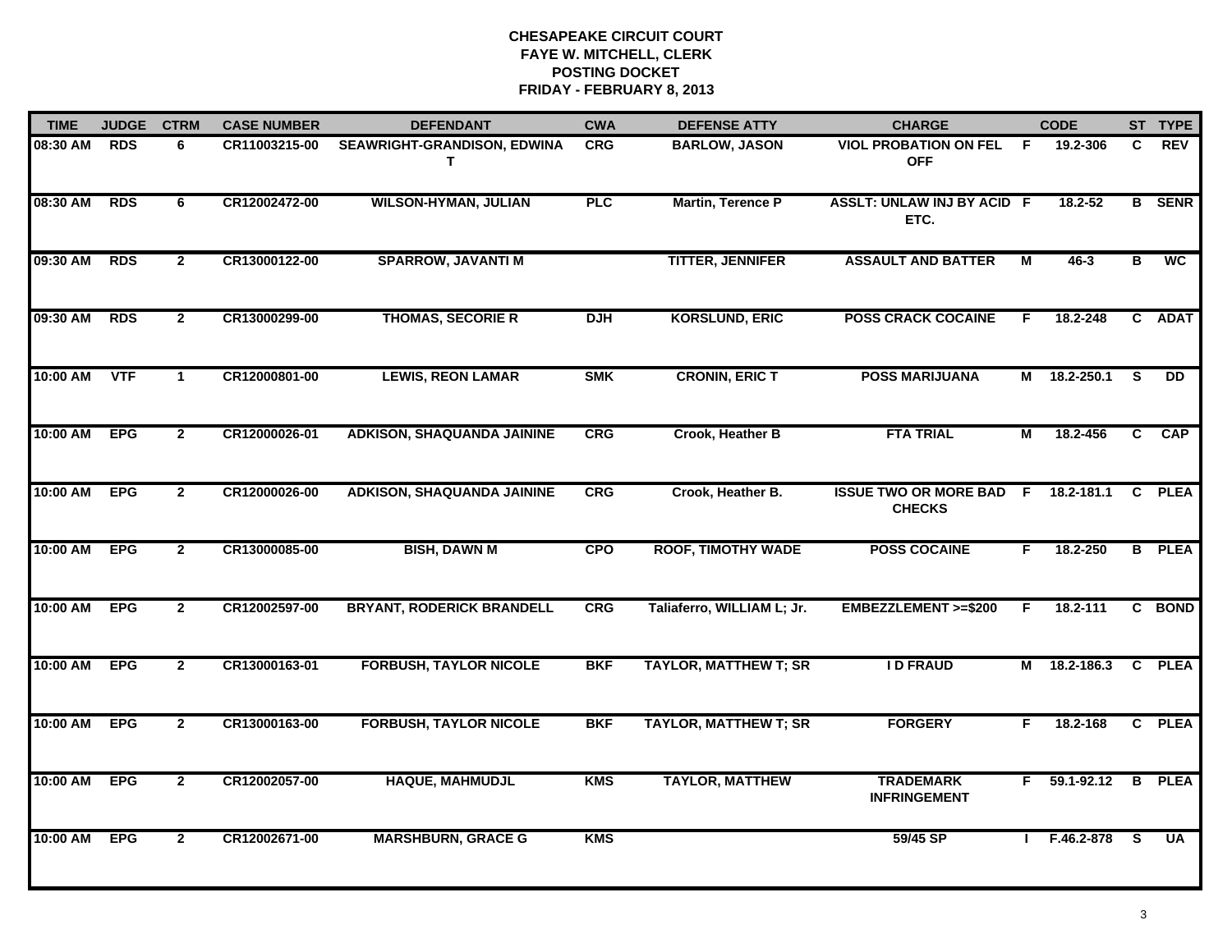| <b>TIME</b> | <b>JUDGE</b> | <b>CTRM</b>    | <b>CASE NUMBER</b> | <b>DEFENDANT</b>                        | <b>CWA</b> | <b>DEFENSE ATTY</b>          | <b>CHARGE</b>                                   |                | <b>CODE</b>    |                         | ST TYPE       |
|-------------|--------------|----------------|--------------------|-----------------------------------------|------------|------------------------------|-------------------------------------------------|----------------|----------------|-------------------------|---------------|
| 08:30 AM    | <b>RDS</b>   | 6              | CR11003215-00      | <b>SEAWRIGHT-GRANDISON, EDWINA</b><br>т | <b>CRG</b> | <b>BARLOW, JASON</b>         | <b>VIOL PROBATION ON FEL</b><br><b>OFF</b>      | -F             | 19.2-306       | C.                      | <b>REV</b>    |
| 08:30 AM    | <b>RDS</b>   | 6              | CR12002472-00      | <b>WILSON-HYMAN, JULIAN</b>             | <b>PLC</b> | <b>Martin, Terence P</b>     | ASSLT: UNLAW INJ BY ACID F<br>ETC.              |                | $18.2 - 52$    |                         | <b>B</b> SENR |
| 09:30 AM    | <b>RDS</b>   | $\mathbf{2}$   | CR13000122-00      | <b>SPARROW, JAVANTI M</b>               |            | <b>TITTER, JENNIFER</b>      | <b>ASSAULT AND BATTER</b>                       | $\overline{M}$ | $46 - 3$       | В                       | <b>WC</b>     |
| 09:30 AM    | <b>RDS</b>   | $\mathbf{2}$   | CR13000299-00      | <b>THOMAS, SECORIE R</b>                | <b>DJH</b> | <b>KORSLUND, ERIC</b>        | <b>POSS CRACK COCAINE</b>                       | F.             | 18.2-248       |                         | C ADAT        |
| 10:00 AM    | <b>VTF</b>   | $\mathbf{1}$   | CR12000801-00      | <b>LEWIS, REON LAMAR</b>                | <b>SMK</b> | <b>CRONIN, ERIC T</b>        | <b>POSS MARIJUANA</b>                           |                | M 18.2-250.1   | <b>S</b>                | <b>DD</b>     |
| 10:00 AM    | <b>EPG</b>   | $\overline{2}$ | CR12000026-01      | <b>ADKISON, SHAQUANDA JAININE</b>       | CRG        | Crook, Heather B             | <b>FTA TRIAL</b>                                | М              | 18.2-456       | C                       | <b>CAP</b>    |
| 10:00 AM    | <b>EPG</b>   | $\overline{2}$ | CR12000026-00      | <b>ADKISON, SHAQUANDA JAININE</b>       | <b>CRG</b> | Crook, Heather B.            | <b>ISSUE TWO OR MORE BAD F</b><br><b>CHECKS</b> |                | 18.2-181.1     | C                       | <b>PLEA</b>   |
| 10:00 AM    | <b>EPG</b>   | $\overline{2}$ | CR13000085-00      | <b>BISH, DAWN M</b>                     | <b>CPO</b> | <b>ROOF, TIMOTHY WADE</b>    | <b>POSS COCAINE</b>                             | F.             | 18.2-250       |                         | <b>B</b> PLEA |
| 10:00 AM    | <b>EPG</b>   | $\overline{2}$ | CR12002597-00      | <b>BRYANT, RODERICK BRANDELL</b>        | CRG        | Taliaferro, WILLIAM L; Jr.   | EMBEZZLEMENT >=\$200                            | F              | 18.2-111       |                         | C BOND        |
| 10:00 AM    | <b>EPG</b>   | $\mathbf{2}$   | CR13000163-01      | <b>FORBUSH, TAYLOR NICOLE</b>           | <b>BKF</b> | <b>TAYLOR, MATTHEW T; SR</b> | <b>ID FRAUD</b>                                 |                | M 18.2-186.3   | C                       | <b>PLEA</b>   |
| 10:00 AM    | <b>EPG</b>   | $\overline{2}$ | CR13000163-00      | <b>FORBUSH, TAYLOR NICOLE</b>           | <b>BKF</b> | <b>TAYLOR, MATTHEW T; SR</b> | <b>FORGERY</b>                                  | F              | 18.2-168       |                         | C PLEA        |
| 10:00 AM    | <b>EPG</b>   | $\overline{2}$ | CR12002057-00      | <b>HAQUE, MAHMUDJL</b>                  | <b>KMS</b> | <b>TAYLOR, MATTHEW</b>       | <b>TRADEMARK</b><br><b>INFRINGEMENT</b>         | F.             | $59.1 - 92.12$ | $\overline{\mathbf{B}}$ | <b>PLEA</b>   |
| 10:00 AM    | <b>EPG</b>   | $\overline{2}$ | CR12002671-00      | <b>MARSHBURN, GRACE G</b>               | <b>KMS</b> |                              | 59/45 SP                                        |                | F.46.2-878     | <b>S</b>                | <b>UA</b>     |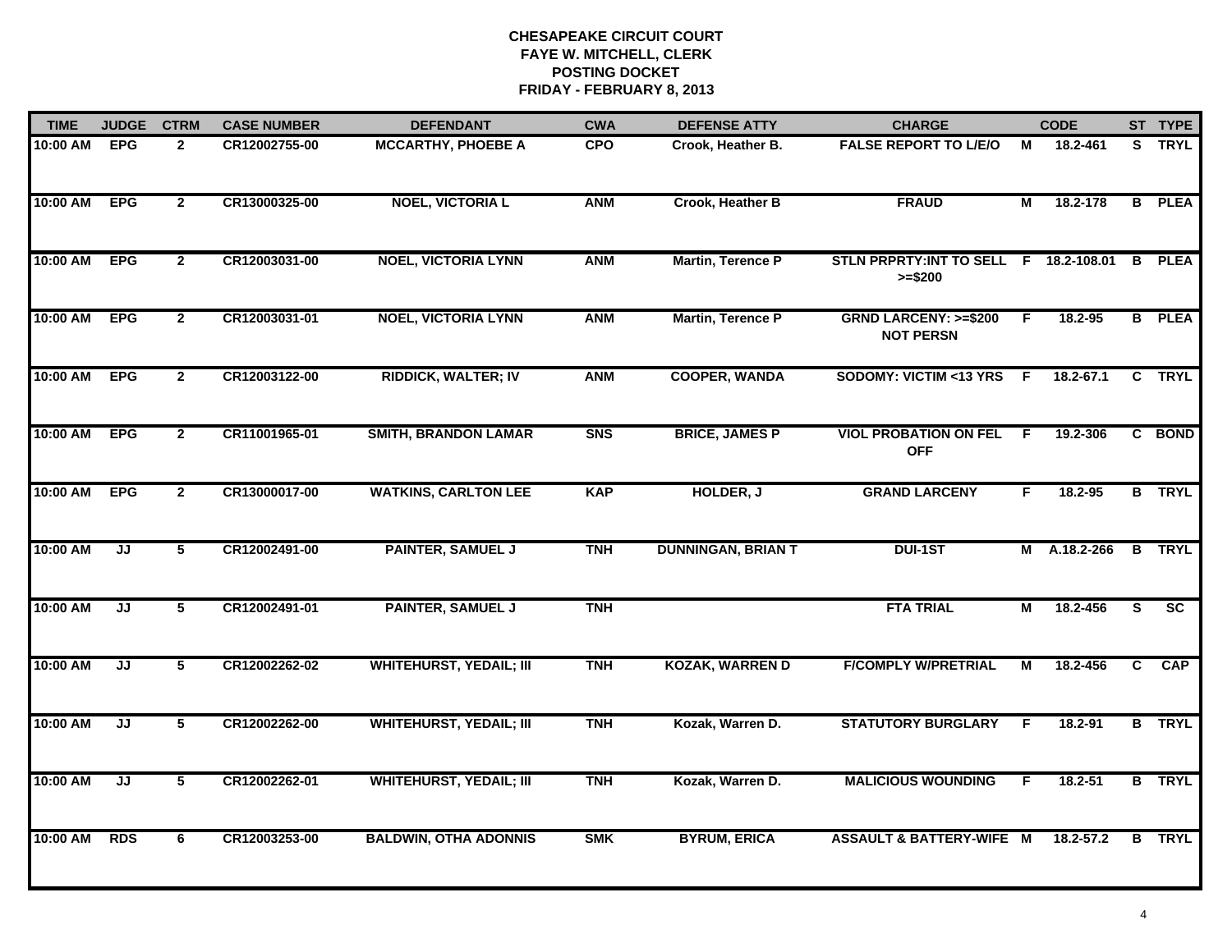| <b>TIME</b> | <b>JUDGE</b> | <b>CTRM</b>    | <b>CASE NUMBER</b> | <b>DEFENDANT</b>               | <b>CWA</b> | <b>DEFENSE ATTY</b>       | <b>CHARGE</b>                                       |     | <b>CODE</b>  |              | ST TYPE       |
|-------------|--------------|----------------|--------------------|--------------------------------|------------|---------------------------|-----------------------------------------------------|-----|--------------|--------------|---------------|
| 10:00 AM    | <b>EPG</b>   | $\overline{2}$ | CR12002755-00      | <b>MCCARTHY, PHOEBE A</b>      | <b>CPO</b> | Crook, Heather B.         | <b>FALSE REPORT TO L/E/O</b>                        | M   | 18.2-461     |              | S TRYL        |
| 10:00 AM    | <b>EPG</b>   | $\overline{2}$ | CR13000325-00      | <b>NOEL, VICTORIA L</b>        | <b>ANM</b> | Crook, Heather B          | <b>FRAUD</b>                                        | М   | 18.2-178     |              | <b>B</b> PLEA |
| 10:00 AM    | <b>EPG</b>   | $\overline{2}$ | CR12003031-00      | <b>NOEL, VICTORIA LYNN</b>     | <b>ANM</b> | <b>Martin, Terence P</b>  | STLN PRPRTY: INT TO SELL F 18.2-108.01<br>$>= $200$ |     |              | <b>B</b>     | <b>PLEA</b>   |
| 10:00 AM    | <b>EPG</b>   | $\mathbf{2}$   | CR12003031-01      | <b>NOEL, VICTORIA LYNN</b>     | <b>ANM</b> | Martin, Terence P         | <b>GRND LARCENY: &gt;=\$200</b><br><b>NOT PERSN</b> | E   | 18.2-95      |              | <b>B</b> PLEA |
| 10:00 AM    | <b>EPG</b>   | $\overline{2}$ | CR12003122-00      | <b>RIDDICK, WALTER; IV</b>     | <b>ANM</b> | <b>COOPER, WANDA</b>      | SODOMY: VICTIM <13 YRS                              | F.  | 18.2-67.1    |              | C TRYL        |
| 10:00 AM    | <b>EPG</b>   | $\overline{2}$ | CR11001965-01      | <b>SMITH, BRANDON LAMAR</b>    | <b>SNS</b> | <b>BRICE, JAMES P</b>     | <b>VIOL PROBATION ON FEL</b><br><b>OFF</b>          | -F. | 19.2-306     |              | C BOND        |
| 10:00 AM    | <b>EPG</b>   | $\overline{2}$ | CR13000017-00      | <b>WATKINS, CARLTON LEE</b>    | <b>KAP</b> | HOLDER, J                 | <b>GRAND LARCENY</b>                                | F.  | 18.2-95      |              | <b>B</b> TRYL |
| 10:00 AM    | JJ           | $\overline{5}$ | CR12002491-00      | <b>PAINTER, SAMUEL J</b>       | <b>TNH</b> | <b>DUNNINGAN, BRIAN T</b> | <b>DUI-1ST</b>                                      |     | M A.18.2-266 |              | <b>B</b> TRYL |
| 10:00 AM    | JJ           | 5              | CR12002491-01      | <b>PAINTER, SAMUEL J</b>       | <b>TNH</b> |                           | <b>FTA TRIAL</b>                                    | M   | 18.2-456     | S            | <b>SC</b>     |
| 10:00 AM    | JJ           | 5              | CR12002262-02      | <b>WHITEHURST, YEDAIL; III</b> | <b>TNH</b> | <b>KOZAK, WARREN D</b>    | <b>F/COMPLY W/PRETRIAL</b>                          | M   | 18.2-456     | $\mathbf{C}$ | <b>CAP</b>    |
| 10:00 AM    | JJ           | 5              | CR12002262-00      | <b>WHITEHURST, YEDAIL; III</b> | <b>TNH</b> | Kozak, Warren D.          | <b>STATUTORY BURGLARY</b>                           | F   | 18.2-91      |              | <b>B</b> TRYL |
| 10:00 AM    | JJ           | $\overline{5}$ | CR12002262-01      | <b>WHITEHURST, YEDAIL; III</b> | <b>TNH</b> | Kozak, Warren D.          | <b>MALICIOUS WOUNDING</b>                           | F.  | $18.2 - 51$  |              | <b>B</b> TRYL |
| 10:00 AM    | <b>RDS</b>   | 6              | CR12003253-00      | <b>BALDWIN, OTHA ADONNIS</b>   | <b>SMK</b> | <b>BYRUM, ERICA</b>       | <b>ASSAULT &amp; BATTERY-WIFE M</b>                 |     | 18.2-57.2    | B            | <b>TRYL</b>   |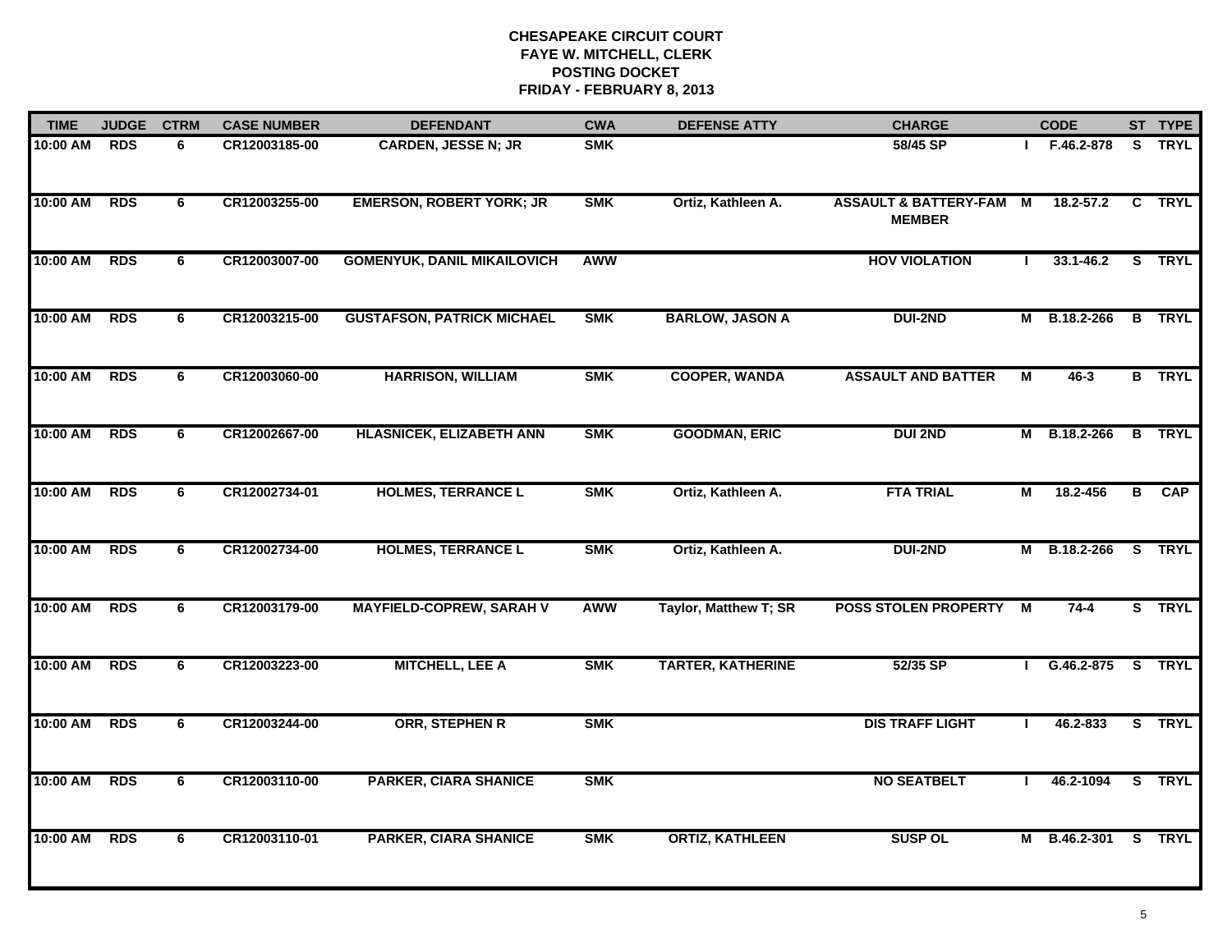| <b>TIME</b> | <b>JUDGE</b> | <b>CTRM</b> | <b>CASE NUMBER</b> | <b>DEFENDANT</b>                   | <b>CWA</b> | <b>DEFENSE ATTY</b>      | <b>CHARGE</b>                                     |                | <b>CODE</b>    |                | ST TYPE       |
|-------------|--------------|-------------|--------------------|------------------------------------|------------|--------------------------|---------------------------------------------------|----------------|----------------|----------------|---------------|
| 10:00 AM    | <b>RDS</b>   | 6           | CR12003185-00      | <b>CARDEN, JESSE N; JR</b>         | <b>SMK</b> |                          | 58/45 SP                                          |                | F.46.2-878     | <b>S</b>       | <b>TRYL</b>   |
| 10:00 AM    | <b>RDS</b>   | 6           | CR12003255-00      | <b>EMERSON, ROBERT YORK; JR</b>    | <b>SMK</b> | Ortiz, Kathleen A.       | <b>ASSAULT &amp; BATTERY-FAM</b><br><b>MEMBER</b> | $\overline{M}$ | $18.2 - 57.2$  |                | C TRYL        |
| 10:00 AM    | <b>RDS</b>   | 6           | CR12003007-00      | <b>GOMENYUK, DANIL MIKAILOVICH</b> | <b>AWW</b> |                          | <b>HOV VIOLATION</b>                              | $\mathbf{I}$   | $33.1 - 46.2$  |                | S TRYL        |
| 10:00 AM    | <b>RDS</b>   | 6           | CR12003215-00      | <b>GUSTAFSON, PATRICK MICHAEL</b>  | <b>SMK</b> | <b>BARLOW, JASON A</b>   | <b>DUI-2ND</b>                                    |                | M B.18.2-266   |                | <b>B</b> TRYL |
| 10:00 AM    | <b>RDS</b>   | 6           | CR12003060-00      | <b>HARRISON, WILLIAM</b>           | <b>SMK</b> | <b>COOPER, WANDA</b>     | <b>ASSAULT AND BATTER</b>                         | М              | $46 - 3$       |                | <b>B</b> TRYL |
| 10:00 AM    | <b>RDS</b>   | 6           | CR12002667-00      | <b>HLASNICEK, ELIZABETH ANN</b>    | <b>SMK</b> | <b>GOODMAN, ERIC</b>     | <b>DUI 2ND</b>                                    | M              | B.18.2-266     | B              | <b>TRYL</b>   |
| 10:00 AM    | <b>RDS</b>   | 6           | CR12002734-01      | <b>HOLMES, TERRANCE L</b>          | <b>SMK</b> | Ortiz, Kathleen A.       | <b>FTA TRIAL</b>                                  | М              | 18.2-456       | $\overline{B}$ | CAP           |
| 10:00 AM    | <b>RDS</b>   | 6           | CR12002734-00      | <b>HOLMES, TERRANCE L</b>          | <b>SMK</b> | Ortiz, Kathleen A.       | <b>DUI-2ND</b>                                    |                | M B.18.2-266   |                | S TRYL        |
| 10:00 AM    | <b>RDS</b>   | 6           | CR12003179-00      | <b>MAYFIELD-COPREW, SARAH V</b>    | AWW        | Taylor, Matthew T; SR    | <b>POSS STOLEN PROPERTY</b>                       | M              | $74 - 4$       |                | S TRYL        |
| 10:00 AM    | <b>RDS</b>   | 6           | CR12003223-00      | <b>MITCHELL, LEE A</b>             | <b>SMK</b> | <b>TARTER, KATHERINE</b> | 52/35 SP                                          |                | $1$ G.46.2-875 |                | S TRYL        |
| 10:00 AM    | <b>RDS</b>   | 6           | CR12003244-00      | <b>ORR, STEPHEN R</b>              | <b>SMK</b> |                          | <b>DIS TRAFF LIGHT</b>                            |                | 46.2-833       |                | S TRYL        |
| 10:00 AM    | <b>RDS</b>   | 6           | CR12003110-00      | <b>PARKER, CIARA SHANICE</b>       | <b>SMK</b> |                          | <b>NO SEATBELT</b>                                |                | 46.2-1094      |                | S TRYL        |
| 10:00 AM    | <b>RDS</b>   | 6           | CR12003110-01      | <b>PARKER, CIARA SHANICE</b>       | <b>SMK</b> | <b>ORTIZ, KATHLEEN</b>   | <b>SUSP OL</b>                                    | М              | B.46.2-301     | S.             | <b>TRYL</b>   |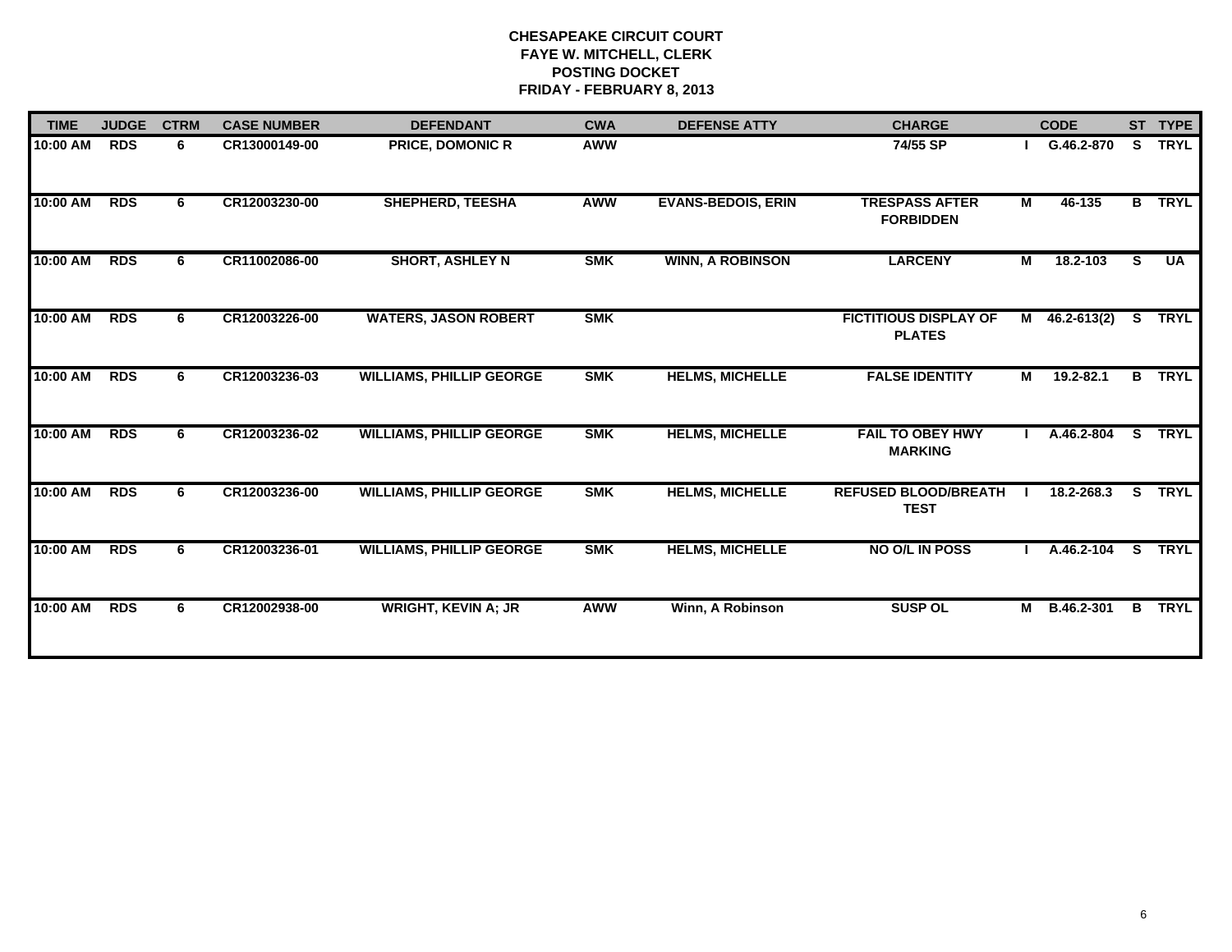| <b>TIME</b> | <b>JUDGE</b> | <b>CTRM</b> | <b>CASE NUMBER</b> | <b>DEFENDANT</b>                | <b>CWA</b> | <b>DEFENSE ATTY</b>       | <b>CHARGE</b>                                 |                | <b>CODE</b>     |                         | ST TYPE       |
|-------------|--------------|-------------|--------------------|---------------------------------|------------|---------------------------|-----------------------------------------------|----------------|-----------------|-------------------------|---------------|
| 10:00 AM    | <b>RDS</b>   | 6           | CR13000149-00      | <b>PRICE, DOMONIC R</b>         | <b>AWW</b> |                           | 74/55 SP                                      |                | G.46.2-870      | S.                      | <b>TRYL</b>   |
| 10:00 AM    | <b>RDS</b>   | 6           | CR12003230-00      | <b>SHEPHERD, TEESHA</b>         | <b>AWW</b> | <b>EVANS-BEDOIS, ERIN</b> | <b>TRESPASS AFTER</b><br><b>FORBIDDEN</b>     | M              | 46-135          |                         | <b>B</b> TRYL |
| 10:00 AM    | <b>RDS</b>   | 6           | CR11002086-00      | <b>SHORT, ASHLEY N</b>          | <b>SMK</b> | <b>WINN, A ROBINSON</b>   | <b>LARCENY</b>                                | $\overline{M}$ | 18.2-103        | S.                      | <b>UA</b>     |
| 10:00 AM    | <b>RDS</b>   | 6           | CR12003226-00      | <b>WATERS, JASON ROBERT</b>     | <b>SMK</b> |                           | <b>FICTITIOUS DISPLAY OF</b><br><b>PLATES</b> | M              | $46.2 - 613(2)$ | <b>S</b>                | <b>TRYL</b>   |
| 10:00 AM    | <b>RDS</b>   | 6           | CR12003236-03      | <b>WILLIAMS, PHILLIP GEORGE</b> | <b>SMK</b> | <b>HELMS, MICHELLE</b>    | <b>FALSE IDENTITY</b>                         | М              | 19.2-82.1       | B                       | <b>TRYL</b>   |
| 10:00 AM    | <b>RDS</b>   | 6           | CR12003236-02      | <b>WILLIAMS, PHILLIP GEORGE</b> | <b>SMK</b> | <b>HELMS, MICHELLE</b>    | <b>FAIL TO OBEY HWY</b><br><b>MARKING</b>     |                | A.46.2-804      | $\overline{\mathbf{s}}$ | <b>TRYL</b>   |
| 10:00 AM    | <b>RDS</b>   | 6           | CR12003236-00      | <b>WILLIAMS, PHILLIP GEORGE</b> | <b>SMK</b> | <b>HELMS, MICHELLE</b>    | <b>REFUSED BLOOD/BREATH</b><br><b>TEST</b>    |                | 18.2-268.3      | S.                      | <b>TRYL</b>   |
| 10:00 AM    | <b>RDS</b>   | 6           | CR12003236-01      | <b>WILLIAMS, PHILLIP GEORGE</b> | <b>SMK</b> | <b>HELMS, MICHELLE</b>    | NO O/L IN POSS                                |                | A.46.2-104      | s<br>                   | <b>TRYL</b>   |
| 10:00 AM    | <b>RDS</b>   | 6           | CR12002938-00      | <b>WRIGHT, KEVIN A; JR</b>      | <b>AWW</b> | Winn, A Robinson          | <b>SUSP OL</b>                                |                | M B.46.2-301    | $\mathbf{B}$            | <b>TRYL</b>   |